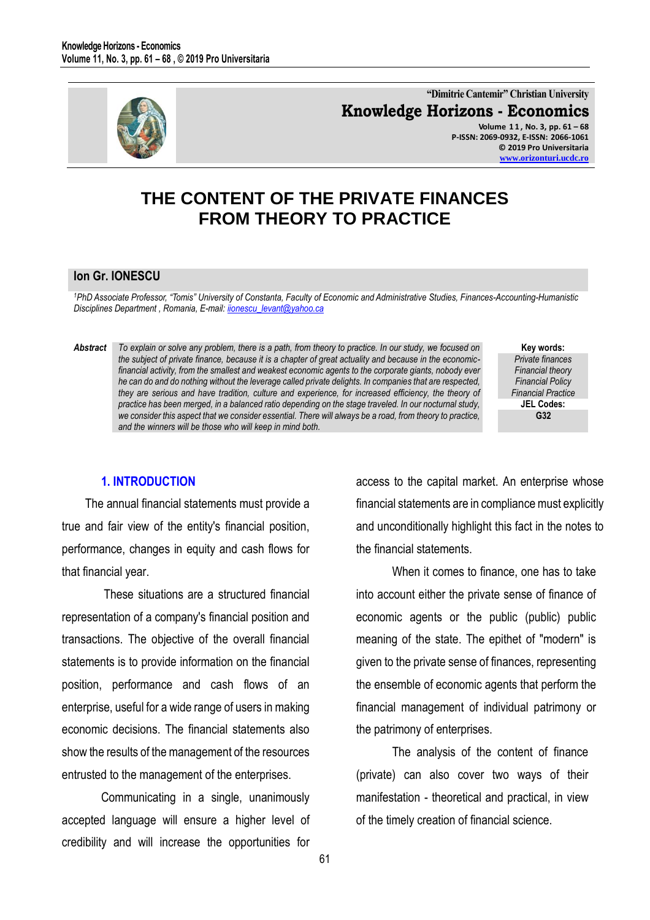

**"Dimitrie Cantemir" Christian University Knowledge Horizons - Economics Volume 1 1 , No. 3, pp. 61 – 68 P-ISSN: 2069-0932, E-ISSN: 2066-1061 © 2019 Pro Universitaria**

**[www.orizonturi.ucdc.ro](http://www.orizonturi.ucdc.ro/)**

**Key words:** *Private finances Financial theory Financial Policy Financial Practice* **JEL Codes: G32**

# **THE CONTENT OF THE PRIVATE FINANCES FROM THEORY TO PRACTICE**

### **Ion Gr. IONESCU**

*<sup>1</sup>PhD Associate Professor, "Tomis" University of Constanta, Faculty of Economic and Administrative Studies, Finances-Accounting-Humanistic Disciplines Department , Romania, E-mail[: iionescu\\_levant@yahoo.ca](mailto:iionescu_levant@yahoo.ca)* 

*Abstract To explain or solve any problem, there is a path, from theory to practice. In our study, we focused on* 

*the subject of private finance, because it is a chapter of great actuality and because in the economicfinancial activity, from the smallest and weakest economic agents to the corporate giants, nobody ever he can do and do nothing without the leverage called private delights. In companies that are respected, they are serious and have tradition, culture and experience, for increased efficiency, the theory of practice has been merged, in a balanced ratio depending on the stage traveled. In our nocturnal study, we consider this aspect that we consider essential. There will always be a road, from theory to practice,* 

### **1. INTRODUCTION**

The annual financial statements must provide a true and fair view of the entity's financial position, performance, changes in equity and cash flows for that financial year.

*and the winners will be those who will keep in mind both.* 

 These situations are a structured financial representation of a company's financial position and transactions. The objective of the overall financial statements is to provide information on the financial position, performance and cash flows of an enterprise, useful for a wide range of users in making economic decisions. The financial statements also show the results of the management of the resources entrusted to the management of the enterprises.

Communicating in a single, unanimously accepted language will ensure a higher level of credibility and will increase the opportunities for access to the capital market. An enterprise whose financial statements are in compliance must explicitly and unconditionally highlight this fact in the notes to the financial statements.

 When it comes to finance, one has to take into account either the private sense of finance of economic agents or the public (public) public meaning of the state. The epithet of "modern" is given to the private sense of finances, representing the ensemble of economic agents that perform the financial management of individual patrimony or the patrimony of enterprises.

 The analysis of the content of finance (private) can also cover two ways of their manifestation - theoretical and practical, in view of the timely creation of financial science.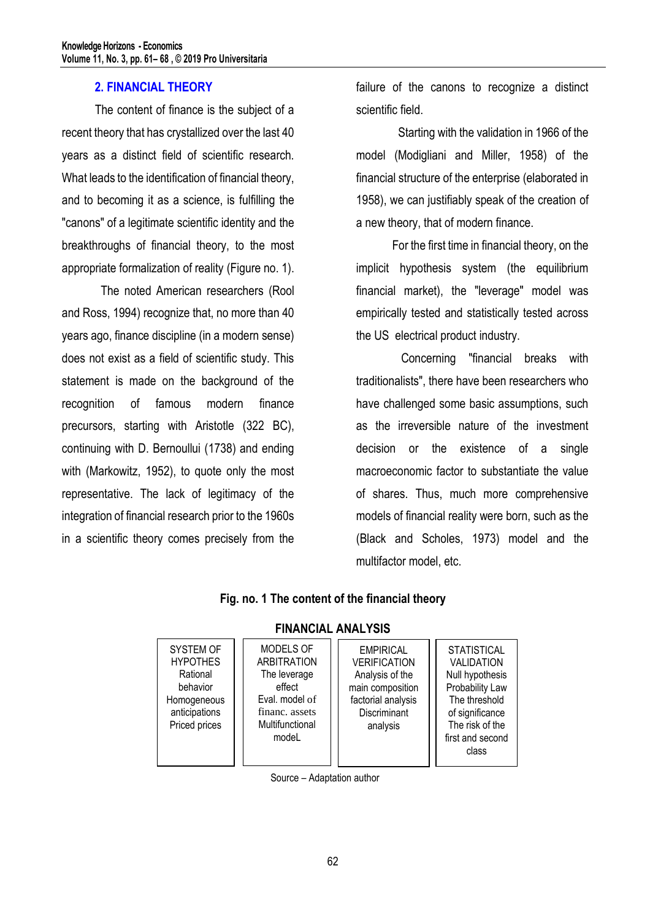## **2. FINANCIAL THEORY**

The content of finance is the subject of a recent theory that has crystallized over the last 40 years as a distinct field of scientific research. What leads to the identification of financial theory, and to becoming it as a science, is fulfilling the "canons" of a legitimate scientific identity and the breakthroughs of financial theory, to the most appropriate formalization of reality (Figure no. 1).

The noted American researchers (Rool and Ross, 1994) recognize that, no more than 40 years ago, finance discipline (in a modern sense) does not exist as a field of scientific study. This statement is made on the background of the recognition of famous modern finance precursors, starting with Aristotle (322 BC), continuing with D. Bernoullui (1738) and ending with (Markowitz, 1952), to quote only the most representative. The lack of legitimacy of the integration of financial research prior to the 1960s in a scientific theory comes precisely from the

failure of the canons to recognize a distinct scientific field.

 Starting with the validation in 1966 of the model (Modigliani and Miller, 1958) of the financial structure of the enterprise (elaborated in 1958), we can justifiably speak of the creation of a new theory, that of modern finance.

 For the first time in financial theory, on the implicit hypothesis system (the equilibrium financial market), the "leverage" model was empirically tested and statistically tested across the US electrical product industry.

 Concerning "financial breaks with traditionalists", there have been researchers who have challenged some basic assumptions, such as the irreversible nature of the investment decision or the existence of a single macroeconomic factor to substantiate the value of shares. Thus, much more comprehensive models of financial reality were born, such as the (Black and Scholes, 1973) model and the multifactor model, etc.

| .                                                                                                     |                                                                                                                           |                                                                                                                                  |                                                                                                                                                            |
|-------------------------------------------------------------------------------------------------------|---------------------------------------------------------------------------------------------------------------------------|----------------------------------------------------------------------------------------------------------------------------------|------------------------------------------------------------------------------------------------------------------------------------------------------------|
| SYSTEM OF<br><b>HYPOTHES</b><br>Rational<br>behavior<br>Homogeneous<br>anticipations<br>Priced prices | MODELS OF<br><b>ARBITRATION</b><br>The leverage<br>effect<br>Eval. model of<br>financ. assets<br>Multifunctional<br>modeL | <b>EMPIRICAL</b><br><b>VERIFICATION</b><br>Analysis of the<br>main composition<br>factorial analysis<br>Discriminant<br>analysis | <b>STATISTICAL</b><br>VALIDATION<br>Null hypothesis<br>Probability Law<br>The threshold<br>of significance<br>The risk of the<br>first and second<br>class |

# **FINANCIAL ANALYSIS**

**Fig. no. 1 The content of the financial theory**

Source – Adaptation author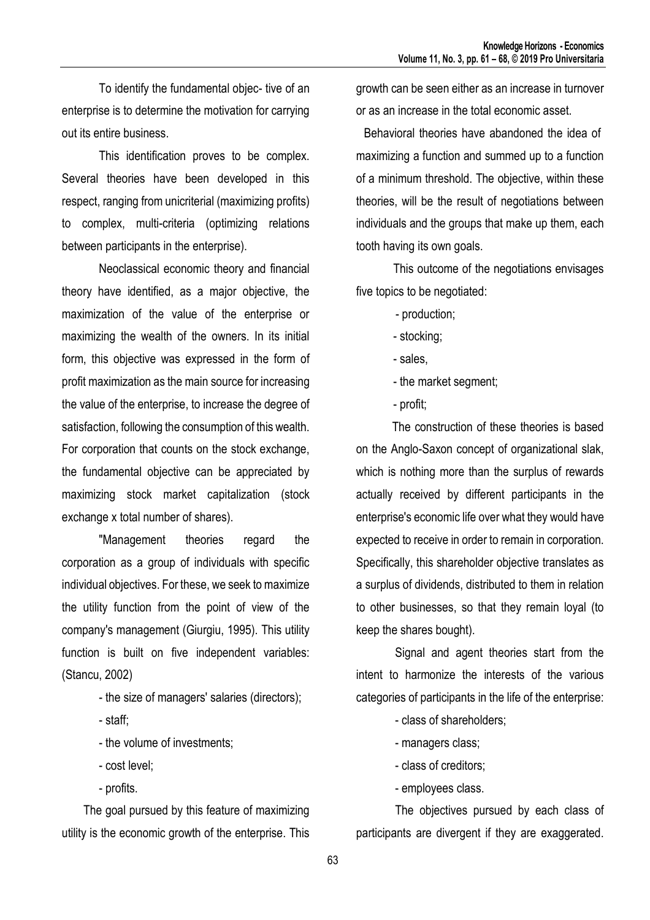To identify the fundamental objec- tive of an enterprise is to determine the motivation for carrying out its entire business.

This identification proves to be complex. Several theories have been developed in this respect, ranging from unicriterial (maximizing profits) to complex, multi-criteria (optimizing relations between participants in the enterprise).

Neoclassical economic theory and financial theory have identified, as a major objective, the maximization of the value of the enterprise or maximizing the wealth of the owners. In its initial form, this objective was expressed in the form of profit maximization as the main source for increasing the value of the enterprise, to increase the degree of satisfaction, following the consumption of this wealth. For corporation that counts on the stock exchange, the fundamental objective can be appreciated by maximizing stock market capitalization (stock exchange x total number of shares).

"Management theories regard the corporation as a group of individuals with specific individual objectives. For these, we seek to maximize the utility function from the point of view of the company's management (Giurgiu, 1995). This utility function is built on five independent variables: (Stancu, 2002)

- the size of managers' salaries (directors);
- staff;
- the volume of investments;
- cost level;
- profits.

The goal pursued by this feature of maximizing utility is the economic growth of the enterprise. This

growth can be seen either as an increase in turnover or as an increase in the total economic asset.

Behavioral theories have abandoned the idea of maximizing a function and summed up to a function of a minimum threshold. The objective, within these theories, will be the result of negotiations between individuals and the groups that make up them, each tooth having its own goals.

This outcome of the negotiations envisages five topics to be negotiated:

- production;
- stocking;
- sales,
- the market segment;
- profit;

 The construction of these theories is based on the Anglo-Saxon concept of organizational slak, which is nothing more than the surplus of rewards actually received by different participants in the enterprise's economic life over what they would have expected to receive in order to remain in corporation. Specifically, this shareholder objective translates as a surplus of dividends, distributed to them in relation to other businesses, so that they remain loyal (to keep the shares bought).

 Signal and agent theories start from the intent to harmonize the interests of the various categories of participants in the life of the enterprise:

- class of shareholders;
- managers class;
- class of creditors;
- employees class.

 The objectives pursued by each class of participants are divergent if they are exaggerated.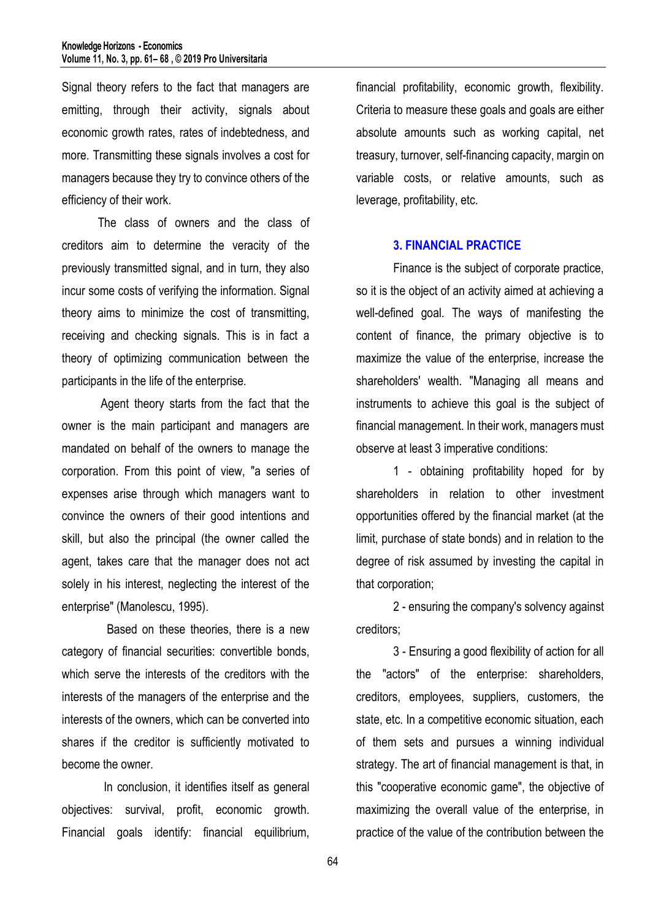Signal theory refers to the fact that managers are emitting, through their activity, signals about economic growth rates, rates of indebtedness, and more. Transmitting these signals involves a cost for managers because they try to convince others of the efficiency of their work.

 The class of owners and the class of creditors aim to determine the veracity of the previously transmitted signal, and in turn, they also incur some costs of verifying the information. Signal theory aims to minimize the cost of transmitting, receiving and checking signals. This is in fact a theory of optimizing communication between the participants in the life of the enterprise.

 Agent theory starts from the fact that the owner is the main participant and managers are mandated on behalf of the owners to manage the corporation. From this point of view, "a series of expenses arise through which managers want to convince the owners of their good intentions and skill, but also the principal (the owner called the agent, takes care that the manager does not act solely in his interest, neglecting the interest of the enterprise" (Manolescu, 1995).

 Based on these theories, there is a new category of financial securities: convertible bonds, which serve the interests of the creditors with the interests of the managers of the enterprise and the interests of the owners, which can be converted into shares if the creditor is sufficiently motivated to become the owner.

 In conclusion, it identifies itself as general objectives: survival, profit, economic growth. Financial goals identify: financial equilibrium,

financial profitability, economic growth, flexibility. Criteria to measure these goals and goals are either absolute amounts such as working capital, net treasury, turnover, self-financing capacity, margin on variable costs, or relative amounts, such as leverage, profitability, etc.

### **3. FINANCIAL PRACTICE**

Finance is the subject of corporate practice, so it is the object of an activity aimed at achieving a well-defined goal. The ways of manifesting the content of finance, the primary objective is to maximize the value of the enterprise, increase the shareholders' wealth. "Managing all means and instruments to achieve this goal is the subject of financial management. In their work, managers must observe at least 3 imperative conditions:

1 - obtaining profitability hoped for by shareholders in relation to other investment opportunities offered by the financial market (at the limit, purchase of state bonds) and in relation to the degree of risk assumed by investing the capital in that corporation;

2 - ensuring the company's solvency against creditors;

3 - Ensuring a good flexibility of action for all the "actors" of the enterprise: shareholders, creditors, employees, suppliers, customers, the state, etc. In a competitive economic situation, each of them sets and pursues a winning individual strategy. The art of financial management is that, in this "cooperative economic game", the objective of maximizing the overall value of the enterprise, in practice of the value of the contribution between the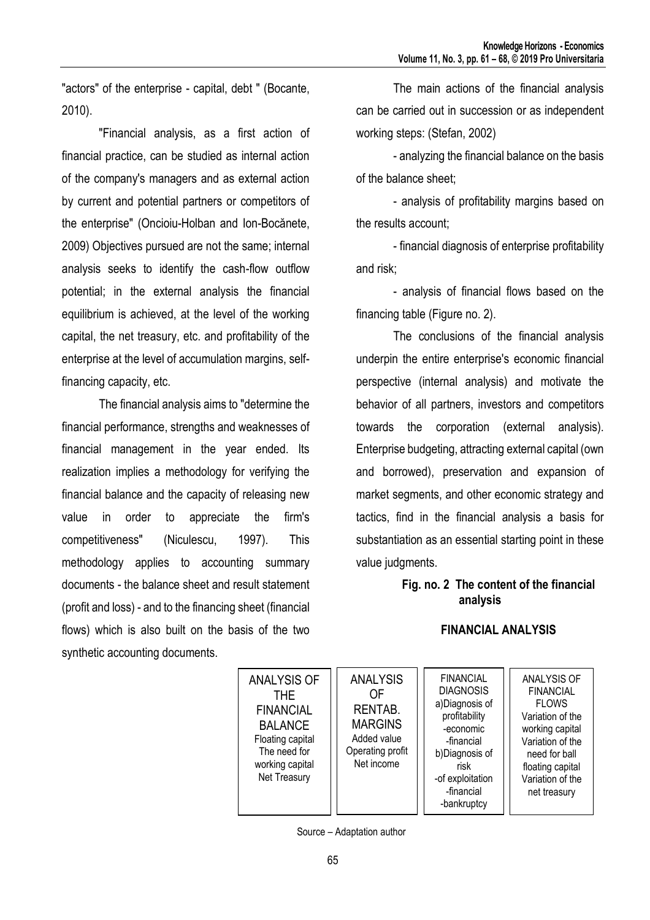"actors" of the enterprise - capital, debt " (Bocante, 2010).

"Financial analysis, as a first action of financial practice, can be studied as internal action of the company's managers and as external action by current and potential partners or competitors of the enterprise" (Oncioiu-Holban and Ion-Bocănete, 2009) Objectives pursued are not the same; internal analysis seeks to identify the cash-flow outflow potential; in the external analysis the financial equilibrium is achieved, at the level of the working capital, the net treasury, etc. and profitability of the enterprise at the level of accumulation margins, selffinancing capacity, etc.

The financial analysis aims to "determine the financial performance, strengths and weaknesses of financial management in the year ended. Its realization implies a methodology for verifying the financial balance and the capacity of releasing new value in order to appreciate the firm's competitiveness" (Niculescu, 1997). This methodology applies to accounting summary documents - the balance sheet and result statement (profit and loss) - and to the financing sheet (financial flows) which is also built on the basis of the two synthetic accounting documents.

The main actions of the financial analysis can be carried out in succession or as independent working steps: (Stefan, 2002)

- analyzing the financial balance on the basis of the balance sheet;

- analysis of profitability margins based on the results account;

- financial diagnosis of enterprise profitability and risk;

- analysis of financial flows based on the financing table (Figure no. 2).

The conclusions of the financial analysis underpin the entire enterprise's economic financial perspective (internal analysis) and motivate the behavior of all partners, investors and competitors towards the corporation (external analysis). Enterprise budgeting, attracting external capital (own and borrowed), preservation and expansion of market segments, and other economic strategy and tactics, find in the financial analysis a basis for substantiation as an essential starting point in these value judgments.

### **Fig. no. 2 The content of the financial analysis**

# **FINANCIAL ANALYSIS**



ANALYSIS OF FINANCIAL FLOWS Variation of the working capital Variation of the need for ball floating capital Variation of the net treasury

Source – Adaptation author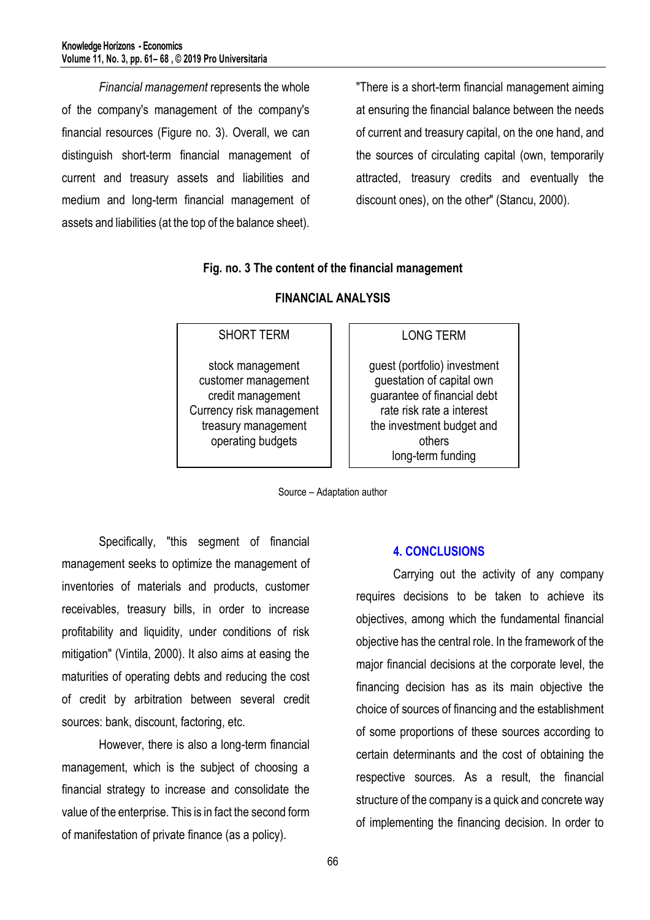*Financial management* represents the whole of the company's management of the company's financial resources (Figure no. 3). Overall, we can distinguish short-term financial management of current and treasury assets and liabilities and medium and long-term financial management of assets and liabilities (at the top of the balance sheet).

"There is a short-term financial management aiming at ensuring the financial balance between the needs of current and treasury capital, on the one hand, and the sources of circulating capital (own, temporarily attracted, treasury credits and eventually the discount ones), on the other" (Stancu, 2000).

### **Fig. no. 3 The content of the financial management**

# SHORT TERM stock management customer management credit management Currency risk management treasury management operating budgets

## **FINANCIAL ANALYSIS**

## LONG TERM

guest (portfolio) investment guestation of capital own guarantee of financial debt rate risk rate a interest the investment budget and others long-term funding

Source – Adaptation author

Specifically, "this segment of financial management seeks to optimize the management of inventories of materials and products, customer receivables, treasury bills, in order to increase profitability and liquidity, under conditions of risk mitigation" (Vintila, 2000). It also aims at easing the maturities of operating debts and reducing the cost of credit by arbitration between several credit sources: bank, discount, factoring, etc.

However, there is also a long-term financial management, which is the subject of choosing a financial strategy to increase and consolidate the value of the enterprise. This is in fact the second form of manifestation of private finance (as a policy).

### **4. CONCLUSIONS**

Carrying out the activity of any company requires decisions to be taken to achieve its objectives, among which the fundamental financial objective has the central role. In the framework of the major financial decisions at the corporate level, the financing decision has as its main objective the choice of sources of financing and the establishment of some proportions of these sources according to certain determinants and the cost of obtaining the respective sources. As a result, the financial structure of the company is a quick and concrete way of implementing the financing decision. In order to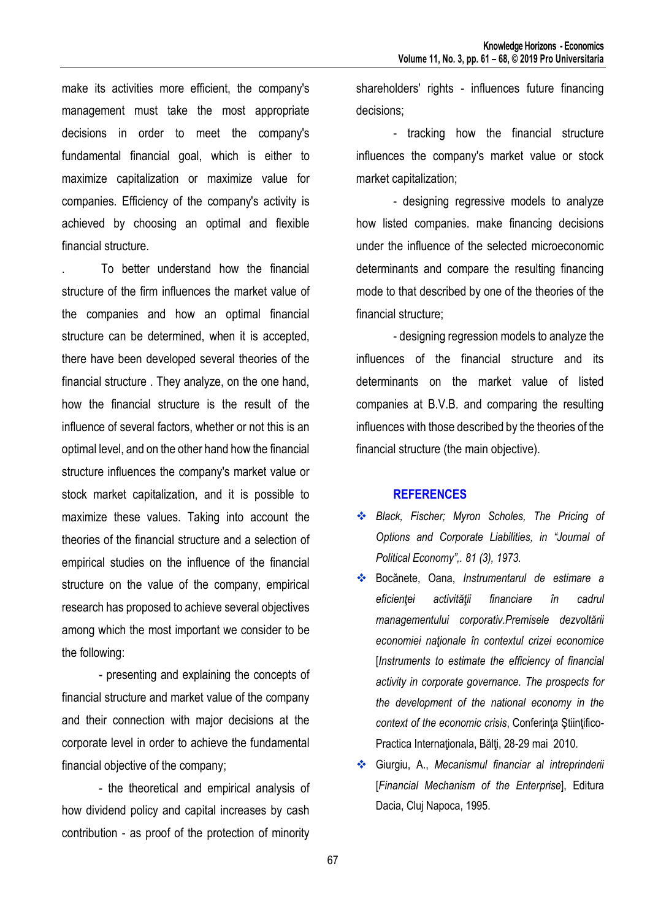make its activities more efficient, the company's management must take the most appropriate decisions in order to meet the company's fundamental financial goal, which is either to maximize capitalization or maximize value for companies. Efficiency of the company's activity is achieved by choosing an optimal and flexible financial structure.

. To better understand how the financial structure of the firm influences the market value of the companies and how an optimal financial structure can be determined, when it is accepted, there have been developed several theories of the financial structure . They analyze, on the one hand, how the financial structure is the result of the influence of several factors, whether or not this is an optimal level, and on the other hand how the financial structure influences the company's market value or stock market capitalization, and it is possible to maximize these values. Taking into account the theories of the financial structure and a selection of empirical studies on the influence of the financial structure on the value of the company, empirical research has proposed to achieve several objectives among which the most important we consider to be the following:

- presenting and explaining the concepts of financial structure and market value of the company and their connection with major decisions at the corporate level in order to achieve the fundamental financial objective of the company;

- the theoretical and empirical analysis of how dividend policy and capital increases by cash contribution - as proof of the protection of minority shareholders' rights - influences future financing decisions;

- tracking how the financial structure influences the company's market value or stock market capitalization;

- designing regressive models to analyze how listed companies. make financing decisions under the influence of the selected microeconomic determinants and compare the resulting financing mode to that described by one of the theories of the financial structure;

- designing regression models to analyze the influences of the financial structure and its determinants on the market value of listed companies at B.V.B. and comparing the resulting influences with those described by the theories of the financial structure (the main objective).

### **REFERENCES**

- *Black, Fischer; Myron Scholes, The Pricing of Options and Corporate Liabilities, in "Journal of Political Economy",. 81 (3), 1973.*
- Bocănete, Oana, *Instrumentarul de estimare a eficienţei activităţii financiare în cadrul managementului corporativ.Premisele dezvoltării economiei naţionale în contextul crizei economice*  [*Instruments to estimate the efficiency of financial activity in corporate governance. The prospects for the development of the national economy in the context of the economic crisis*, Conferinţa Ştiinţifico-Practica Internaţionala, Bălţi, 28-29 mai 2010.
- Giurgiu, A., *Mecanismul financiar al intreprinderii*  [*Financial Mechanism of the Enterprise*], Editura Dacia, Cluj Napoca, 1995.